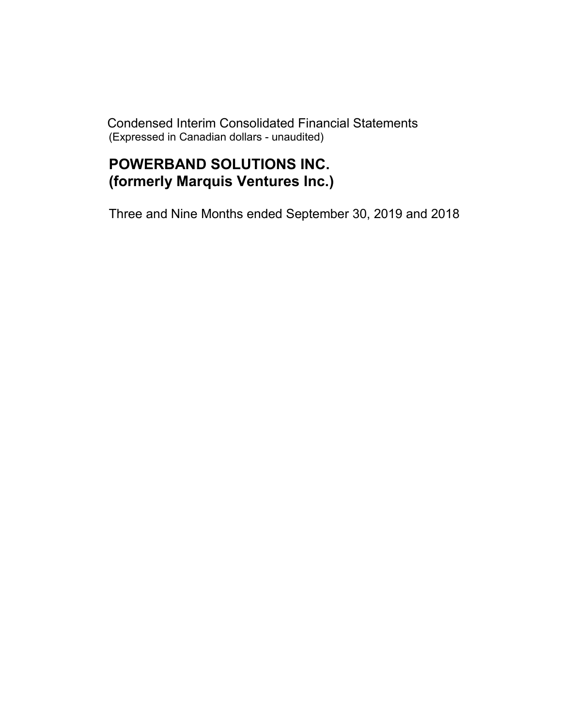Condensed Interim Consolidated Financial Statements (Expressed in Canadian dollars - unaudited)

# **POWERBAND SOLUTIONS INC. (formerly Marquis Ventures Inc.)**

Three and Nine Months ended September 30, 2019 and 2018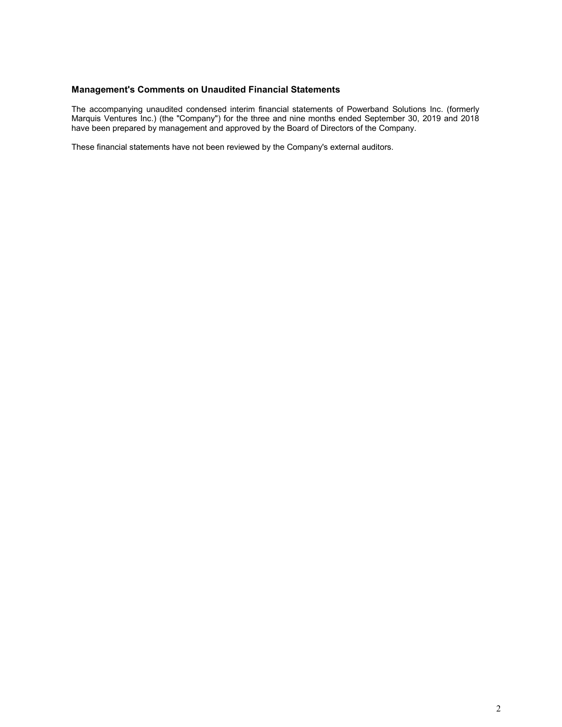#### **Management's Comments on Unaudited Financial Statements**

The accompanying unaudited condensed interim financial statements of Powerband Solutions Inc. (formerly Marquis Ventures Inc.) (the "Company") for the three and nine months ended September 30, 2019 and 2018 have been prepared by management and approved by the Board of Directors of the Company.

These financial statements have not been reviewed by the Company's external auditors.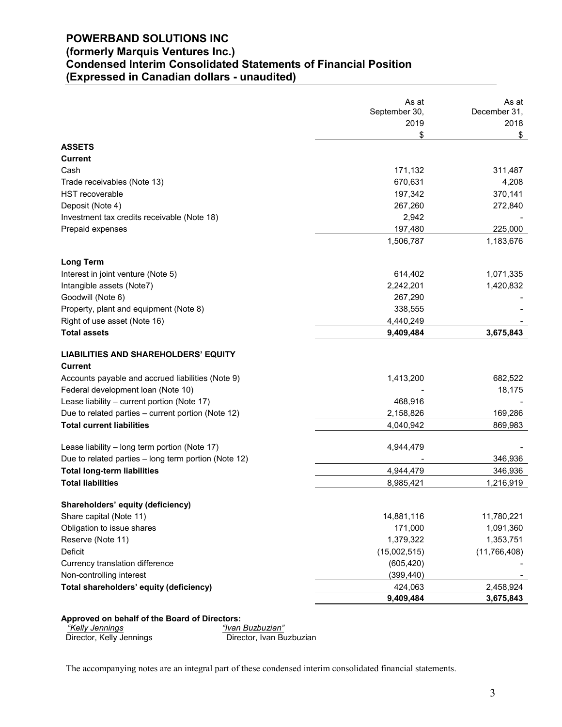### **POWERBAND SOLUTIONS INC**

### **(formerly Marquis Ventures Inc.) Condensed Interim Consolidated Statements of Financial Position (Expressed in Canadian dollars - unaudited)**

| Total shareholders' equity (deficiency)                                                               | (399, 440)<br>424,063 | 2,458,924      |
|-------------------------------------------------------------------------------------------------------|-----------------------|----------------|
| Currency translation difference<br>Non-controlling interest                                           | (605, 420)            |                |
| Deficit                                                                                               | (15,002,515)          | (11, 766, 408) |
| Reserve (Note 11)                                                                                     | 1,379,322             | 1,353,751      |
| Obligation to issue shares                                                                            | 171,000               | 1,091,360      |
| Share capital (Note 11)                                                                               | 14,881,116            | 11,780,221     |
| Shareholders' equity (deficiency)                                                                     |                       |                |
|                                                                                                       |                       |                |
| <b>Total liabilities</b>                                                                              | 8,985,421             | 1,216,919      |
| <b>Total long-term liabilities</b>                                                                    | 4,944,479             | 346,936        |
| Lease liability - long term portion (Note 17)<br>Due to related parties - long term portion (Note 12) | 4,944,479             | 346,936        |
|                                                                                                       |                       |                |
| <b>Total current liabilities</b>                                                                      | 4,040,942             | 869,983        |
| Due to related parties - current portion (Note 12)                                                    | 2,158,826             | 169,286        |
| Lease liability - current portion (Note 17)                                                           | 468,916               |                |
| Federal development loan (Note 10)                                                                    |                       | 18,175         |
| Accounts payable and accrued liabilities (Note 9)                                                     | 1,413,200             | 682,522        |
| <b>LIABILITIES AND SHAREHOLDERS' EQUITY</b><br><b>Current</b>                                         |                       |                |
|                                                                                                       |                       |                |
| <b>Total assets</b>                                                                                   | 9,409,484             | 3,675,843      |
| Property, plant and equipment (Note 8)<br>Right of use asset (Note 16)                                | 338,555<br>4,440,249  |                |
| Goodwill (Note 6)                                                                                     | 267,290               |                |
| Intangible assets (Note7)                                                                             | 2,242,201             | 1,420,832      |
| Interest in joint venture (Note 5)                                                                    | 614,402               | 1,071,335      |
| <b>Long Term</b>                                                                                      |                       |                |
|                                                                                                       | 1,506,787             | 1,183,676      |
| Prepaid expenses                                                                                      | 197,480               | 225,000        |
| Investment tax credits receivable (Note 18)                                                           | 2,942                 |                |
| Deposit (Note 4)                                                                                      | 267,260               | 272,840        |
| <b>HST</b> recoverable                                                                                | 197,342               | 370,141        |
| Trade receivables (Note 13)                                                                           | 670,631               | 4,208          |
| Cash                                                                                                  | 171,132               | 311,487        |
| <b>ASSETS</b><br><b>Current</b>                                                                       |                       |                |
|                                                                                                       | \$                    | \$             |
|                                                                                                       | 2019                  | 2018           |
|                                                                                                       | September 30,         | December 31,   |
|                                                                                                       | As at                 | As at          |

# **Approved on behalf of the Board of Directors:**

Director, Kelly Jennings

*"Kelly Jennings "Ivan Buzbuzian"*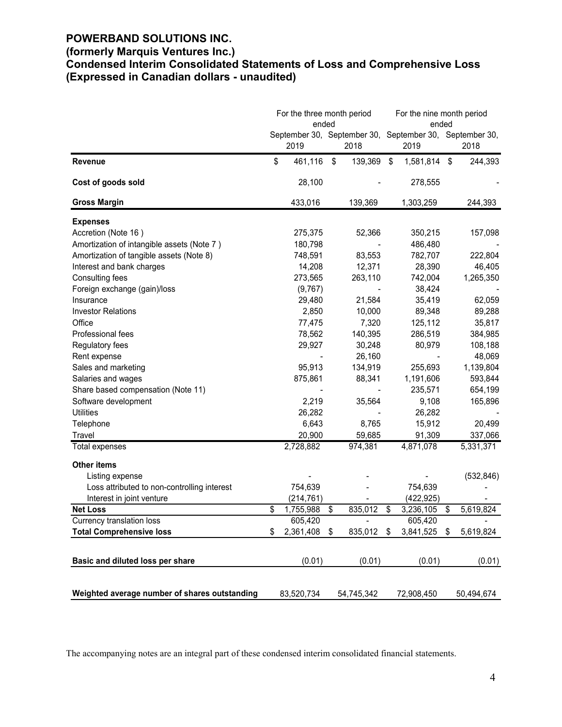### **POWERBAND SOLUTIONS INC.**

# **(formerly Marquis Ventures Inc.)**

## **Condensed Interim Consolidated Statements of Loss and Comprehensive Loss (Expressed in Canadian dollars - unaudited)**

|                                               | For the three month period<br>ended |                                                                 | For the nine month period<br>ended |                 |
|-----------------------------------------------|-------------------------------------|-----------------------------------------------------------------|------------------------------------|-----------------|
|                                               | 2019                                | September 30, September 30, September 30, September 30,<br>2018 | 2019                               | 2018            |
| <b>Revenue</b>                                | \$<br>461,116                       | \$<br>139,369                                                   | \$<br>1,581,814                    | \$<br>244,393   |
| Cost of goods sold                            | 28,100                              |                                                                 | 278,555                            |                 |
| <b>Gross Margin</b>                           | 433,016                             | 139,369                                                         | 1,303,259                          | 244,393         |
| <b>Expenses</b>                               |                                     |                                                                 |                                    |                 |
| Accretion (Note 16)                           | 275,375                             | 52,366                                                          | 350,215                            | 157,098         |
| Amortization of intangible assets (Note 7)    | 180,798                             |                                                                 | 486,480                            |                 |
| Amortization of tangible assets (Note 8)      | 748,591                             | 83,553                                                          | 782,707                            | 222,804         |
| Interest and bank charges                     | 14,208                              | 12,371                                                          | 28,390                             | 46,405          |
| Consulting fees                               | 273,565                             | 263,110                                                         | 742,004                            | 1,265,350       |
| Foreign exchange (gain)/loss                  | (9,767)                             |                                                                 | 38,424                             |                 |
| Insurance                                     | 29,480                              | 21,584                                                          | 35,419                             | 62,059          |
| <b>Investor Relations</b>                     | 2,850                               | 10,000                                                          | 89,348                             | 89,288          |
| Office                                        | 77,475                              | 7,320                                                           | 125,112                            | 35,817          |
| Professional fees                             | 78,562                              | 140,395                                                         | 286,519                            | 384,985         |
| Regulatory fees                               | 29,927                              | 30,248                                                          | 80,979                             | 108,188         |
| Rent expense                                  |                                     | 26,160                                                          |                                    | 48,069          |
| Sales and marketing                           | 95,913                              | 134,919                                                         | 255,693                            | 1,139,804       |
| Salaries and wages                            | 875,861                             | 88,341                                                          | 1,191,606                          | 593,844         |
| Share based compensation (Note 11)            |                                     |                                                                 | 235,571                            | 654,199         |
| Software development                          | 2,219                               | 35,564                                                          | 9,108                              | 165,896         |
| <b>Utilities</b>                              | 26,282                              |                                                                 | 26,282                             |                 |
| Telephone                                     | 6,643                               | 8,765                                                           | 15,912                             | 20,499          |
| Travel                                        | 20,900                              | 59,685                                                          | 91,309                             | 337,066         |
| <b>Total expenses</b>                         | 2,728,882                           | 974,381                                                         | 4,871,078                          | 5,331,371       |
| <b>Other items</b>                            |                                     |                                                                 |                                    |                 |
| Listing expense                               |                                     |                                                                 |                                    | (532, 846)      |
| Loss attributed to non-controlling interest   | 754,639                             |                                                                 | 754,639                            |                 |
| Interest in joint venture                     | (214, 761)                          |                                                                 | (422, 925)                         |                 |
| <b>Net Loss</b>                               | \$<br>1,755,988                     | \$<br>835,012                                                   | \$<br>3,236,105                    | \$<br>5,619,824 |
| <b>Currency translation loss</b>              | 605,420                             | L,                                                              | 605,420                            | $\blacksquare$  |
| <b>Total Comprehensive loss</b>               | \$<br>2,361,408                     | \$<br>835,012                                                   | \$<br>3,841,525                    | \$<br>5,619,824 |
| Basic and diluted loss per share              | (0.01)                              | (0.01)                                                          | (0.01)                             | (0.01)          |
| Weighted average number of shares outstanding | 83,520,734                          | 54,745,342                                                      | 72,908,450                         | 50,494,674      |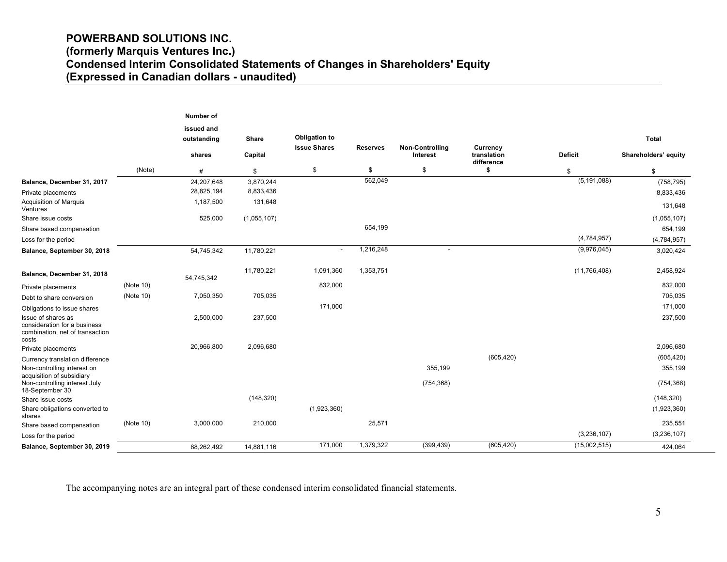### **POWERBAND SOLUTIONS INC. (formerly Marquis Ventures Inc.) Condensed Interim Consolidated Statements of Changes in Shareholders' Equity (Expressed in Canadian dollars - unaudited)**

|                                                                                                |           | Number of   |              |                          |                 |                                    |                                       |                |                      |
|------------------------------------------------------------------------------------------------|-----------|-------------|--------------|--------------------------|-----------------|------------------------------------|---------------------------------------|----------------|----------------------|
|                                                                                                |           | issued and  |              |                          |                 |                                    |                                       |                |                      |
|                                                                                                |           | outstanding | <b>Share</b> | Obligation to            |                 |                                    |                                       |                | <b>Total</b>         |
|                                                                                                |           | shares      | Capital      | <b>Issue Shares</b>      | <b>Reserves</b> | <b>Non-Controlling</b><br>Interest | Currency<br>translation<br>difference | <b>Deficit</b> | Shareholders' equity |
|                                                                                                | (Note)    | #           | \$           | \$                       | \$              | \$                                 | \$                                    | \$             | \$                   |
| Balance, December 31, 2017                                                                     |           | 24,207,648  | 3,870,244    |                          | 562,049         |                                    |                                       | (5, 191, 088)  | (758, 795)           |
| Private placements                                                                             |           | 28,825,194  | 8,833,436    |                          |                 |                                    |                                       |                | 8,833,436            |
| <b>Acquisition of Marquis</b><br>Ventures                                                      |           | 1,187,500   | 131,648      |                          |                 |                                    |                                       |                | 131,648              |
| Share issue costs                                                                              |           | 525,000     | (1,055,107)  |                          |                 |                                    |                                       |                | (1,055,107)          |
| Share based compensation                                                                       |           |             |              |                          | 654,199         |                                    |                                       |                | 654,199              |
| Loss for the period                                                                            |           |             |              |                          |                 |                                    |                                       | (4,784,957)    | (4,784,957)          |
| Balance, September 30, 2018                                                                    |           | 54,745,342  | 11,780,221   | $\overline{\phantom{a}}$ | 1,216,248       |                                    |                                       | (9,976,045)    | 3,020,424            |
| Balance, December 31, 2018                                                                     |           | 54,745,342  | 11,780,221   | 1,091,360                | 1,353,751       |                                    |                                       | (11, 766, 408) | 2,458,924            |
| Private placements                                                                             | (Note 10) |             |              | 832,000                  |                 |                                    |                                       |                | 832,000              |
| Debt to share conversion                                                                       | (Note 10) | 7,050,350   | 705,035      |                          |                 |                                    |                                       |                | 705,035              |
| Obligations to issue shares                                                                    |           |             |              | 171,000                  |                 |                                    |                                       |                | 171,000              |
| Issue of shares as<br>consideration for a business<br>combination, net of transaction<br>costs |           | 2,500,000   | 237,500      |                          |                 |                                    |                                       |                | 237,500              |
| Private placements                                                                             |           | 20,966,800  | 2,096,680    |                          |                 |                                    |                                       |                | 2,096,680            |
| Currency translation difference                                                                |           |             |              |                          |                 |                                    | (605, 420)                            |                | (605, 420)           |
| Non-controlling interest on                                                                    |           |             |              |                          |                 | 355,199                            |                                       |                | 355,199              |
| acquisition of subsidiary<br>Non-controlling interest July<br>18-September 30                  |           |             |              |                          |                 | (754, 368)                         |                                       |                | (754, 368)           |
| Share issue costs                                                                              |           |             | (148, 320)   |                          |                 |                                    |                                       |                | (148, 320)           |
| Share obligations converted to<br>shares                                                       |           |             |              | (1,923,360)              |                 |                                    |                                       |                | (1,923,360)          |
| Share based compensation                                                                       | (Note 10) | 3,000,000   | 210,000      |                          | 25,571          |                                    |                                       |                | 235,551              |
| Loss for the period                                                                            |           |             |              |                          |                 |                                    |                                       | (3,236,107)    | (3,236,107)          |
| Balance, September 30, 2019                                                                    |           | 88,262,492  | 14,881,116   | 171,000                  | 1,379,322       | (399, 439)                         | (605, 420)                            | (15,002,515)   | 424,064              |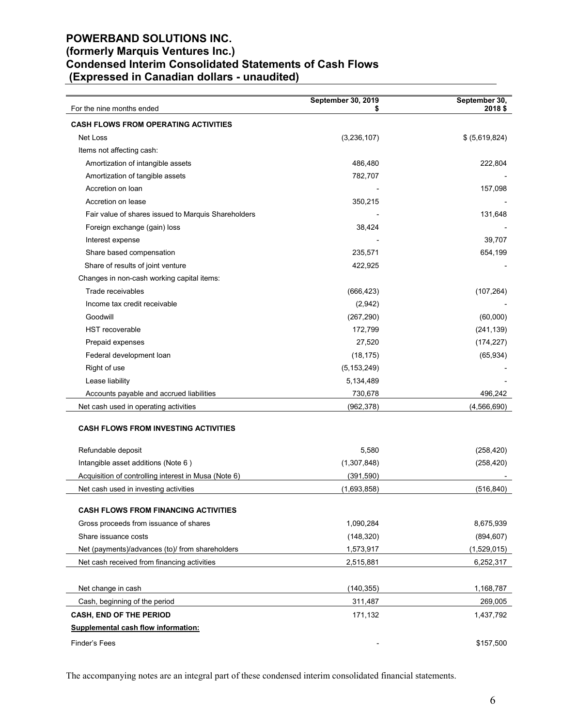### **POWERBAND SOLUTIONS INC. (formerly Marquis Ventures Inc.) Condensed Interim Consolidated Statements of Cash Flows (Expressed in Canadian dollars - unaudited)**

| For the nine months ended                            | September 30, 2019<br>S | September 30,<br>2018 \$ |
|------------------------------------------------------|-------------------------|--------------------------|
| <b>CASH FLOWS FROM OPERATING ACTIVITIES</b>          |                         |                          |
| Net Loss                                             | (3,236,107)             | \$ (5,619,824)           |
| Items not affecting cash:                            |                         |                          |
| Amortization of intangible assets                    | 486,480                 | 222,804                  |
| Amortization of tangible assets                      | 782,707                 |                          |
| Accretion on Ioan                                    |                         | 157,098                  |
| Accretion on lease                                   | 350,215                 |                          |
| Fair value of shares issued to Marquis Shareholders  |                         | 131,648                  |
| Foreign exchange (gain) loss                         | 38,424                  |                          |
| Interest expense                                     |                         | 39,707                   |
| Share based compensation                             | 235,571                 | 654,199                  |
| Share of results of joint venture                    | 422,925                 |                          |
| Changes in non-cash working capital items:           |                         |                          |
| Trade receivables                                    | (666, 423)              | (107, 264)               |
| Income tax credit receivable                         | (2,942)                 |                          |
| Goodwill                                             | (267, 290)              | (60,000)                 |
| <b>HST</b> recoverable                               | 172,799                 | (241, 139)               |
| Prepaid expenses                                     | 27,520                  | (174, 227)               |
| Federal development loan                             | (18, 175)               | (65, 934)                |
| Right of use                                         | (5, 153, 249)           |                          |
| Lease liability                                      | 5,134,489               |                          |
| Accounts payable and accrued liabilities             | 730,678                 | 496,242                  |
| Net cash used in operating activities                | (962, 378)              | (4,566,690)              |
| <b>CASH FLOWS FROM INVESTING ACTIVITIES</b>          |                         |                          |
| Refundable deposit                                   | 5,580                   | (258, 420)               |
| Intangible asset additions (Note 6)                  | (1,307,848)             | (258, 420)               |
| Acquisition of controlling interest in Musa (Note 6) | (391, 590)              |                          |
| Net cash used in investing activities                | (1,693,858)             | (516, 840)               |
| <b>CASH FLOWS FROM FINANCING ACTIVITIES</b>          |                         |                          |
| Gross proceeds from issuance of shares               | 1,090,284               | 8,675,939                |
| Share issuance costs                                 | (148, 320)              | (894, 607)               |
| Net (payments)/advances (to)/ from shareholders      | 1,573,917               | (1,529,015)              |
| Net cash received from financing activities          | 2,515,881               | 6,252,317                |
|                                                      |                         |                          |
| Net change in cash                                   | (140, 355)              | 1,168,787                |
| Cash, beginning of the period                        | 311,487                 | 269,005                  |
| <b>CASH, END OF THE PERIOD</b>                       | 171,132                 | 1,437,792                |
| Supplemental cash flow information:                  |                         |                          |
| Finder's Fees                                        |                         | \$157,500                |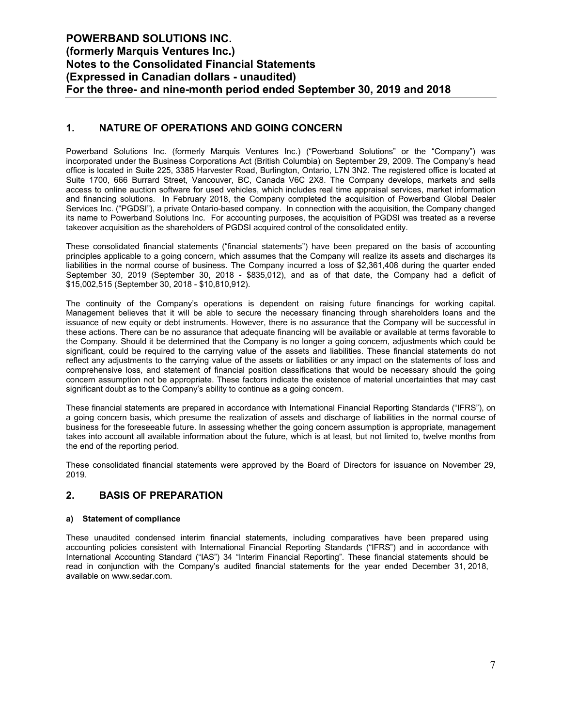### **1. NATURE OF OPERATIONS AND GOING CONCERN**

Powerband Solutions Inc. (formerly Marquis Ventures Inc.) ("Powerband Solutions" or the "Company") was incorporated under the Business Corporations Act (British Columbia) on September 29, 2009. The Company's head office is located in Suite 225, 3385 Harvester Road, Burlington, Ontario, L7N 3N2. The registered office is located at Suite 1700, 666 Burrard Street, Vancouver, BC, Canada V6C 2X8. The Company develops, markets and sells access to online auction software for used vehicles, which includes real time appraisal services, market information and financing solutions. In February 2018, the Company completed the acquisition of Powerband Global Dealer Services Inc. ("PGDSI"), a private Ontario-based company. In connection with the acquisition, the Company changed its name to Powerband Solutions Inc. For accounting purposes, the acquisition of PGDSI was treated as a reverse takeover acquisition as the shareholders of PGDSI acquired control of the consolidated entity.

These consolidated financial statements ("financial statements") have been prepared on the basis of accounting principles applicable to a going concern, which assumes that the Company will realize its assets and discharges its liabilities in the normal course of business. The Company incurred a loss of \$2,361,408 during the quarter ended September 30, 2019 (September 30, 2018 - \$835,012), and as of that date, the Company had a deficit of \$15,002,515 (September 30, 2018 - \$10,810,912).

The continuity of the Company's operations is dependent on raising future financings for working capital. Management believes that it will be able to secure the necessary financing through shareholders loans and the issuance of new equity or debt instruments. However, there is no assurance that the Company will be successful in these actions. There can be no assurance that adequate financing will be available or available at terms favorable to the Company. Should it be determined that the Company is no longer a going concern, adjustments which could be significant, could be required to the carrying value of the assets and liabilities. These financial statements do not reflect any adjustments to the carrying value of the assets or liabilities or any impact on the statements of loss and comprehensive loss, and statement of financial position classifications that would be necessary should the going concern assumption not be appropriate. These factors indicate the existence of material uncertainties that may cast significant doubt as to the Company's ability to continue as a going concern.

These financial statements are prepared in accordance with International Financial Reporting Standards ("IFRS"), on a going concern basis, which presume the realization of assets and discharge of liabilities in the normal course of business for the foreseeable future. In assessing whether the going concern assumption is appropriate, management takes into account all available information about the future, which is at least, but not limited to, twelve months from the end of the reporting period.

These consolidated financial statements were approved by the Board of Directors for issuance on November 29, 2019.

### **2. BASIS OF PREPARATION**

#### **a) Statement of compliance**

These unaudited condensed interim financial statements, including comparatives have been prepared using accounting policies consistent with International Financial Reporting Standards ("IFRS") and in accordance with International Accounting Standard ("IAS") 34 "Interim Financial Reporting". These financial statements should be read in conjunction with the Company's audited financial statements for the year ended December 31, 2018, available on www.sedar.com.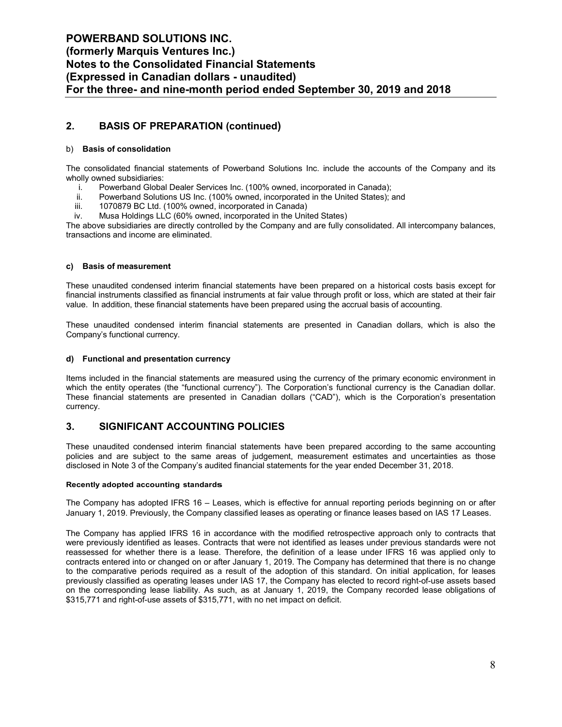### **2. BASIS OF PREPARATION (continued)**

#### b) **Basis of consolidation**

The consolidated financial statements of Powerband Solutions Inc. include the accounts of the Company and its wholly owned subsidiaries:

- i. Powerband Global Dealer Services Inc. (100% owned, incorporated in Canada);<br>ii. Powerband Solutions US Inc. (100% owned. incorporated in the United States);
- Powerband Solutions US Inc. (100% owned, incorporated in the United States); and
- iii. 1070879 BC Ltd. (100% owned, incorporated in Canada)
- iv. Musa Holdings LLC (60% owned, incorporated in the United States)

The above subsidiaries are directly controlled by the Company and are fully consolidated. All intercompany balances, transactions and income are eliminated.

#### **c) Basis of measurement**

These unaudited condensed interim financial statements have been prepared on a historical costs basis except for financial instruments classified as financial instruments at fair value through profit or loss, which are stated at their fair value. In addition, these financial statements have been prepared using the accrual basis of accounting.

These unaudited condensed interim financial statements are presented in Canadian dollars, which is also the Company's functional currency.

#### **d) Functional and presentation currency**

Items included in the financial statements are measured using the currency of the primary economic environment in which the entity operates (the "functional currency"). The Corporation's functional currency is the Canadian dollar. These financial statements are presented in Canadian dollars ("CAD"), which is the Corporation's presentation currency.

#### **3. SIGNIFICANT ACCOUNTING POLICIES**

These unaudited condensed interim financial statements have been prepared according to the same accounting policies and are subject to the same areas of judgement, measurement estimates and uncertainties as those disclosed in Note 3 of the Company's audited financial statements for the year ended December 31, 2018.

#### **Recently adopted accounting standards**

The Company has adopted IFRS 16 – Leases, which is effective for annual reporting periods beginning on or after January 1, 2019. Previously, the Company classified leases as operating or finance leases based on IAS 17 Leases.

The Company has applied IFRS 16 in accordance with the modified retrospective approach only to contracts that were previously identified as leases. Contracts that were not identified as leases under previous standards were not reassessed for whether there is a lease. Therefore, the definition of a lease under IFRS 16 was applied only to contracts entered into or changed on or after January 1, 2019. The Company has determined that there is no change to the comparative periods required as a result of the adoption of this standard. On initial application, for leases previously classified as operating leases under IAS 17, the Company has elected to record right-of-use assets based on the corresponding lease liability. As such, as at January 1, 2019, the Company recorded lease obligations of \$315,771 and right-of-use assets of \$315,771, with no net impact on deficit.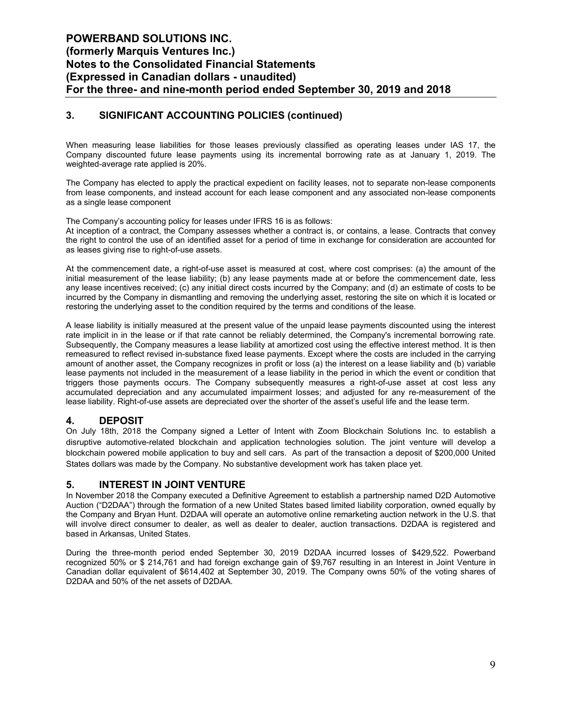### **3. SIGNIFICANT ACCOUNTING POLICIES (continued)**

When measuring lease liabilities for those leases previously classified as operating leases under IAS 17, the Company discounted future lease payments using its incremental borrowing rate as at January 1, 2019. The weighted-average rate applied is 20%.

The Company has elected to apply the practical expedient on facility leases, not to separate non-lease components from lease components, and instead account for each lease component and any associated non-lease components as a single lease component

The Company's accounting policy for leases under IFRS 16 is as follows:

At inception of a contract, the Company assesses whether a contract is, or contains, a lease. Contracts that convey the right to control the use of an identified asset for a period of time in exchange for consideration are accounted for as leases giving rise to right-of-use assets.

At the commencement date, a right-of-use asset is measured at cost, where cost comprises: (a) the amount of the initial measurement of the lease liability; (b) any lease payments made at or before the commencement date, less any lease incentives received; (c) any initial direct costs incurred by the Company; and (d) an estimate of costs to be incurred by the Company in dismantling and removing the underlying asset, restoring the site on which it is located or restoring the underlying asset to the condition required by the terms and conditions of the lease.

A lease liability is initially measured at the present value of the unpaid lease payments discounted using the interest rate implicit in in the lease or if that rate cannot be reliably determined, the Company's incremental borrowing rate. Subsequently, the Company measures a lease liability at amortized cost using the effective interest method. It is then remeasured to reflect revised in-substance fixed lease payments. Except where the costs are included in the carrying amount of another asset, the Company recognizes in profit or loss (a) the interest on a lease liability and (b) variable lease payments not included in the measurement of a lease liability in the period in which the event or condition that triggers those payments occurs. The Company subsequently measures a right-of-use asset at cost less any accumulated depreciation and any accumulated impairment losses; and adjusted for any re-measurement of the lease liability. Right-of-use assets are depreciated over the shorter of the asset's useful life and the lease term.

#### **4. DEPOSIT**

On July 18th, 2018 the Company signed a Letter of Intent with Zoom Blockchain Solutions Inc. to establish a disruptive automotive-related blockchain and application technologies solution. The joint venture will develop a blockchain powered mobile application to buy and sell cars. As part of the transaction a deposit of \$200,000 United States dollars was made by the Company. No substantive development work has taken place yet.

#### **5. INTEREST IN JOINT VENTURE**

In November 2018 the Company executed a Definitive Agreement to establish a partnership named D2D Automotive Auction ("D2DAA") through the formation of a new United States based limited liability corporation, owned equally by the Company and Bryan Hunt. D2DAA will operate an automotive online remarketing auction network in the U.S. that will involve direct consumer to dealer, as well as dealer to dealer, auction transactions. D2DAA is registered and based in Arkansas, United States.

During the three-month period ended September 30, 2019 D2DAA incurred losses of \$429,522. Powerband recognized 50% or \$ 214,761 and had foreign exchange gain of \$9,767 resulting in an Interest in Joint Venture in Canadian dollar equivalent of \$614,402 at September 30, 2019. The Company owns 50% of the voting shares of D2DAA and 50% of the net assets of D2DAA.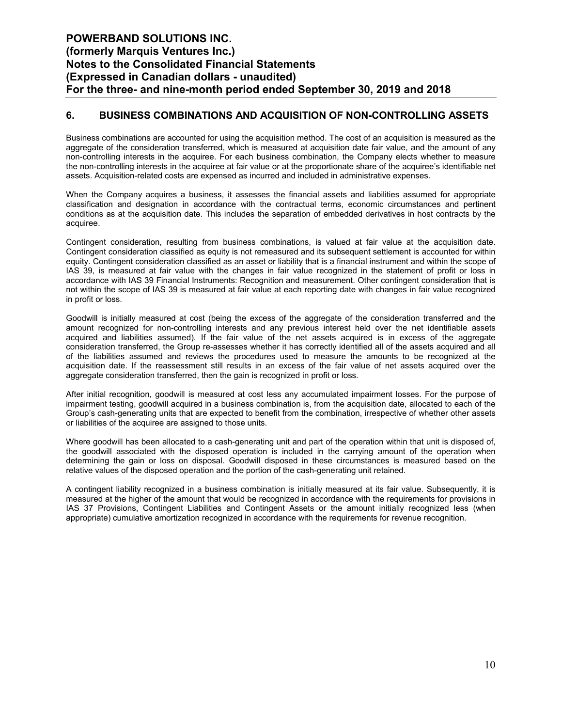#### **6. BUSINESS COMBINATIONS AND ACQUISITION OF NON-CONTROLLING ASSETS**

Business combinations are accounted for using the acquisition method. The cost of an acquisition is measured as the aggregate of the consideration transferred, which is measured at acquisition date fair value, and the amount of any non-controlling interests in the acquiree. For each business combination, the Company elects whether to measure the non-controlling interests in the acquiree at fair value or at the proportionate share of the acquiree's identifiable net assets. Acquisition-related costs are expensed as incurred and included in administrative expenses.

When the Company acquires a business, it assesses the financial assets and liabilities assumed for appropriate classification and designation in accordance with the contractual terms, economic circumstances and pertinent conditions as at the acquisition date. This includes the separation of embedded derivatives in host contracts by the acquiree.

Contingent consideration, resulting from business combinations, is valued at fair value at the acquisition date. Contingent consideration classified as equity is not remeasured and its subsequent settlement is accounted for within equity. Contingent consideration classified as an asset or liability that is a financial instrument and within the scope of IAS 39, is measured at fair value with the changes in fair value recognized in the statement of profit or loss in accordance with IAS 39 Financial Instruments: Recognition and measurement. Other contingent consideration that is not within the scope of IAS 39 is measured at fair value at each reporting date with changes in fair value recognized in profit or loss.

Goodwill is initially measured at cost (being the excess of the aggregate of the consideration transferred and the amount recognized for non-controlling interests and any previous interest held over the net identifiable assets acquired and liabilities assumed). If the fair value of the net assets acquired is in excess of the aggregate consideration transferred, the Group re-assesses whether it has correctly identified all of the assets acquired and all of the liabilities assumed and reviews the procedures used to measure the amounts to be recognized at the acquisition date. If the reassessment still results in an excess of the fair value of net assets acquired over the aggregate consideration transferred, then the gain is recognized in profit or loss.

After initial recognition, goodwill is measured at cost less any accumulated impairment losses. For the purpose of impairment testing, goodwill acquired in a business combination is, from the acquisition date, allocated to each of the Group's cash-generating units that are expected to benefit from the combination, irrespective of whether other assets or liabilities of the acquiree are assigned to those units.

Where goodwill has been allocated to a cash-generating unit and part of the operation within that unit is disposed of, the goodwill associated with the disposed operation is included in the carrying amount of the operation when determining the gain or loss on disposal. Goodwill disposed in these circumstances is measured based on the relative values of the disposed operation and the portion of the cash-generating unit retained.

A contingent liability recognized in a business combination is initially measured at its fair value. Subsequently, it is measured at the higher of the amount that would be recognized in accordance with the requirements for provisions in IAS 37 Provisions, Contingent Liabilities and Contingent Assets or the amount initially recognized less (when appropriate) cumulative amortization recognized in accordance with the requirements for revenue recognition.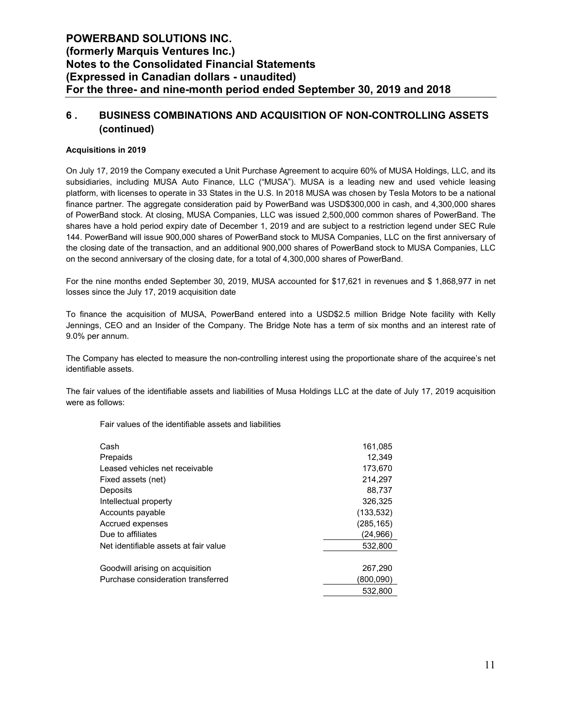### **6 . BUSINESS COMBINATIONS AND ACQUISITION OF NON-CONTROLLING ASSETS (continued)**

#### **Acquisitions in 2019**

On July 17, 2019 the Company executed a Unit Purchase Agreement to acquire 60% of MUSA Holdings, LLC, and its subsidiaries, including MUSA Auto Finance, LLC ("MUSA"). MUSA is a leading new and used vehicle leasing platform, with licenses to operate in 33 States in the U.S. In 2018 MUSA was chosen by Tesla Motors to be a national finance partner. The aggregate consideration paid by PowerBand was USD\$300,000 in cash, and 4,300,000 shares of PowerBand stock. At closing, MUSA Companies, LLC was issued 2,500,000 common shares of PowerBand. The shares have a hold period expiry date of December 1, 2019 and are subject to a restriction legend under SEC Rule 144. PowerBand will issue 900,000 shares of PowerBand stock to MUSA Companies, LLC on the first anniversary of the closing date of the transaction, and an additional 900,000 shares of PowerBand stock to MUSA Companies, LLC on the second anniversary of the closing date, for a total of 4,300,000 shares of PowerBand.

For the nine months ended September 30, 2019, MUSA accounted for \$17,621 in revenues and \$ 1,868,977 in net losses since the July 17, 2019 acquisition date

To finance the acquisition of MUSA, PowerBand entered into a USD\$2.5 million Bridge Note facility with Kelly Jennings, CEO and an Insider of the Company. The Bridge Note has a term of six months and an interest rate of 9.0% per annum.

The Company has elected to measure the non-controlling interest using the proportionate share of the acquiree's net identifiable assets.

The fair values of the identifiable assets and liabilities of Musa Holdings LLC at the date of July 17, 2019 acquisition were as follows:

Fair values of the identifiable assets and liabilities

| Cash                                  | 161,085    |
|---------------------------------------|------------|
| Prepaids                              | 12,349     |
| Leased vehicles net receivable        | 173,670    |
| Fixed assets (net)                    | 214,297    |
| Deposits                              | 88.737     |
| Intellectual property                 | 326,325    |
| Accounts payable                      | (133, 532) |
| Accrued expenses                      | (285, 165) |
| Due to affiliates                     | (24,966)   |
| Net identifiable assets at fair value | 532.800    |
|                                       |            |
| Goodwill arising on acquisition       | 267,290    |
| Purchase consideration transferred    | (800,090)  |
|                                       | 532.800    |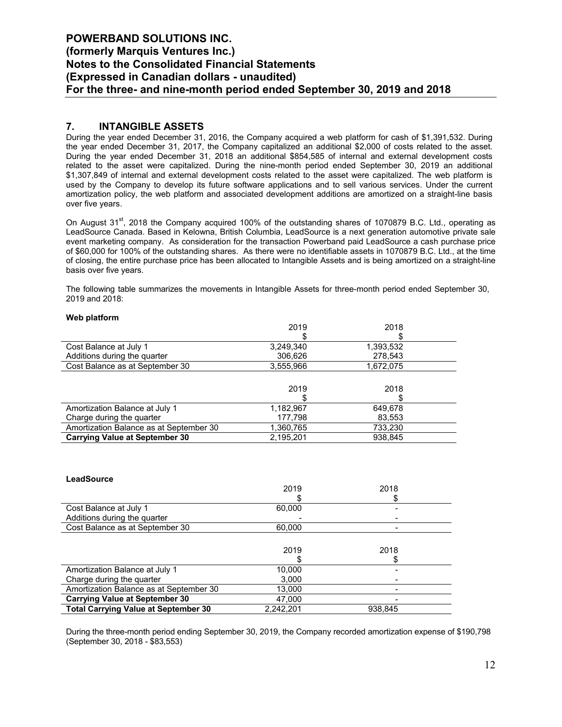#### **7. INTANGIBLE ASSETS**

**Web platform**

During the year ended December 31, 2016, the Company acquired a web platform for cash of \$1,391,532. During the year ended December 31, 2017, the Company capitalized an additional \$2,000 of costs related to the asset. During the year ended December 31, 2018 an additional \$854,585 of internal and external development costs related to the asset were capitalized. During the nine-month period ended September 30, 2019 an additional \$1,307,849 of internal and external development costs related to the asset were capitalized. The web platform is used by the Company to develop its future software applications and to sell various services. Under the current amortization policy, the web platform and associated development additions are amortized on a straight-line basis over five years.

On August  $31<sup>st</sup>$ , 2018 the Company acquired 100% of the outstanding shares of 1070879 B.C. Ltd., operating as LeadSource Canada. Based in Kelowna, British Columbia, LeadSource is a next generation automotive private sale event marketing company. As consideration for the transaction Powerband paid LeadSource a cash purchase price of \$60,000 for 100% of the outstanding shares. As there were no identifiable assets in 1070879 B.C. Ltd., at the time of closing, the entire purchase price has been allocated to Intangible Assets and is being amortized on a straight-line basis over five years.

The following table summarizes the movements in Intangible Assets for three-month period ended September 30, 2019 and 2018:

| 2019      | 2018      |  |
|-----------|-----------|--|
|           |           |  |
| 3,249,340 | 1,393,532 |  |
| 306,626   | 278,543   |  |
| 3,555,966 | 1,672,075 |  |
|           |           |  |
| 2019      | 2018      |  |
|           |           |  |
| 1,182,967 | 649,678   |  |
| 177,798   | 83,553    |  |
| 1,360,765 | 733,230   |  |
| 2,195,201 | 938,845   |  |
|           |           |  |

| LeadSource                                  |           |         |  |
|---------------------------------------------|-----------|---------|--|
|                                             | 2019      | 2018    |  |
|                                             |           |         |  |
| Cost Balance at July 1                      | 60.000    |         |  |
| Additions during the quarter                |           |         |  |
| Cost Balance as at September 30             | 60.000    |         |  |
|                                             |           |         |  |
|                                             | 2019      | 2018    |  |
|                                             |           |         |  |
| Amortization Balance at July 1              | 10,000    |         |  |
| Charge during the quarter                   | 3,000     |         |  |
| Amortization Balance as at September 30     | 13,000    |         |  |
| <b>Carrying Value at September 30</b>       | 47,000    |         |  |
| <b>Total Carrying Value at September 30</b> | 2.242.201 | 938.845 |  |

During the three-month period ending September 30, 2019, the Company recorded amortization expense of \$190,798 (September 30, 2018 - \$83,553)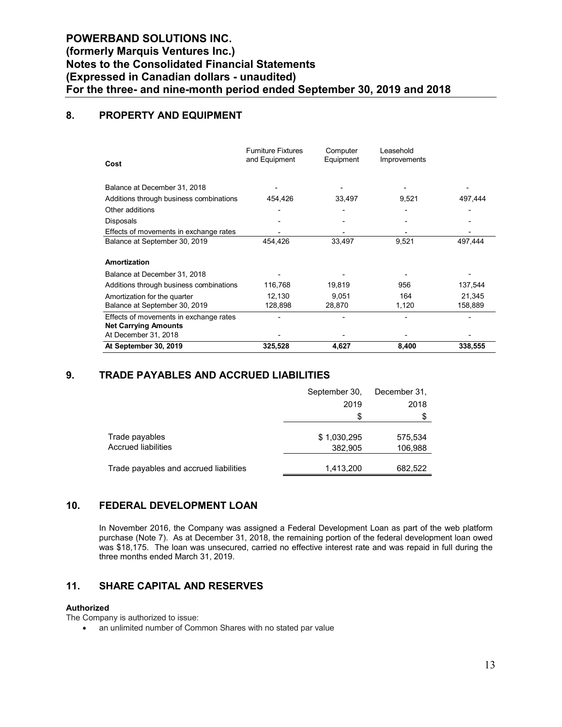### **8. PROPERTY AND EQUIPMENT**

|                                         | <b>Furniture Fixtures</b> | Computer  | Leasehold    |         |
|-----------------------------------------|---------------------------|-----------|--------------|---------|
| Cost                                    | and Equipment             | Equipment | Improvements |         |
|                                         |                           |           |              |         |
| Balance at December 31, 2018            |                           |           |              |         |
| Additions through business combinations | 454,426                   | 33,497    | 9,521        | 497,444 |
| Other additions                         |                           |           |              |         |
| Disposals                               |                           |           |              |         |
| Effects of movements in exchange rates  |                           |           |              |         |
| Balance at September 30, 2019           | 454.426                   | 33,497    | 9.521        | 497,444 |
|                                         |                           |           |              |         |
| Amortization                            |                           |           |              |         |
| Balance at December 31, 2018            |                           |           |              |         |
| Additions through business combinations | 116,768                   | 19,819    | 956          | 137,544 |
| Amortization for the quarter            | 12,130                    | 9.051     | 164          | 21.345  |
| Balance at September 30, 2019           | 128,898                   | 28,870    | 1,120        | 158,889 |
| Effects of movements in exchange rates  |                           |           |              |         |
| <b>Net Carrying Amounts</b>             |                           |           |              |         |
| At December 31, 2018                    |                           |           |              |         |
| At September 30, 2019                   | 325,528                   | 4,627     | 8,400        | 338,555 |

### **9. TRADE PAYABLES AND ACCRUED LIABILITIES**

|                                              | September 30,          | December 31,       |
|----------------------------------------------|------------------------|--------------------|
|                                              | 2019                   | 2018               |
|                                              | S                      | S                  |
| Trade payables<br><b>Accrued liabilities</b> | \$1,030,295<br>382,905 | 575,534<br>106,988 |
| Trade payables and accrued liabilities       | 1,413,200              | 682,522            |

### **10. FEDERAL DEVELOPMENT LOAN**

In November 2016, the Company was assigned a Federal Development Loan as part of the web platform purchase (Note 7). As at December 31, 2018, the remaining portion of the federal development loan owed was \$18,175. The loan was unsecured, carried no effective interest rate and was repaid in full during the three months ended March 31, 2019.

### **11. SHARE CAPITAL AND RESERVES**

#### **Authorized**

The Company is authorized to issue:

an unlimited number of Common Shares with no stated par value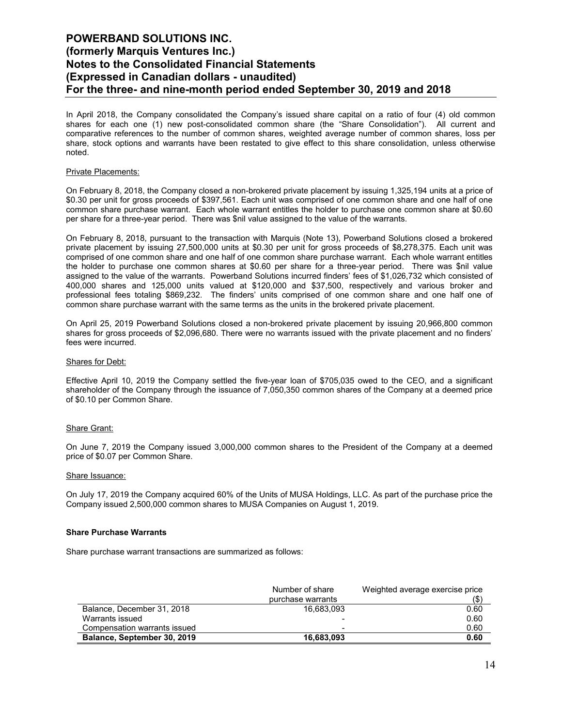In April 2018, the Company consolidated the Company's issued share capital on a ratio of four (4) old common shares for each one (1) new post-consolidated common share (the "Share Consolidation"). All current and comparative references to the number of common shares, weighted average number of common shares, loss per share, stock options and warrants have been restated to give effect to this share consolidation, unless otherwise noted.

#### Private Placements:

On February 8, 2018, the Company closed a non-brokered private placement by issuing 1,325,194 units at a price of \$0.30 per unit for gross proceeds of \$397,561. Each unit was comprised of one common share and one half of one common share purchase warrant. Each whole warrant entitles the holder to purchase one common share at \$0.60 per share for a three-year period. There was \$nil value assigned to the value of the warrants.

On February 8, 2018, pursuant to the transaction with Marquis (Note 13), Powerband Solutions closed a brokered private placement by issuing 27,500,000 units at \$0.30 per unit for gross proceeds of \$8,278,375. Each unit was comprised of one common share and one half of one common share purchase warrant. Each whole warrant entitles the holder to purchase one common shares at \$0.60 per share for a three-year period. There was \$nil value assigned to the value of the warrants. Powerband Solutions incurred finders' fees of \$1,026,732 which consisted of 400,000 shares and 125,000 units valued at \$120,000 and \$37,500, respectively and various broker and professional fees totaling \$869,232. The finders' units comprised of one common share and one half one of common share purchase warrant with the same terms as the units in the brokered private placement.

On April 25, 2019 Powerband Solutions closed a non-brokered private placement by issuing 20,966,800 common shares for gross proceeds of \$2,096,680. There were no warrants issued with the private placement and no finders' fees were incurred.

#### Shares for Debt:

Effective April 10, 2019 the Company settled the five-year loan of \$705,035 owed to the CEO, and a significant shareholder of the Company through the issuance of 7,050,350 common shares of the Company at a deemed price of \$0.10 per Common Share.

#### Share Grant:

On June 7, 2019 the Company issued 3,000,000 common shares to the President of the Company at a deemed price of \$0.07 per Common Share.

#### Share Issuance:

On July 17, 2019 the Company acquired 60% of the Units of MUSA Holdings, LLC. As part of the purchase price the Company issued 2,500,000 common shares to MUSA Companies on August 1, 2019.

#### **Share Purchase Warrants**

Share purchase warrant transactions are summarized as follows:

|                              | Number of share   | Weighted average exercise price |
|------------------------------|-------------------|---------------------------------|
|                              | purchase warrants | (\$)                            |
| Balance, December 31, 2018   | 16.683.093        | 0.60                            |
| Warrants issued              |                   | 0.60                            |
| Compensation warrants issued | -                 | 0.60                            |
| Balance, September 30, 2019  | 16.683.093        | 0.60                            |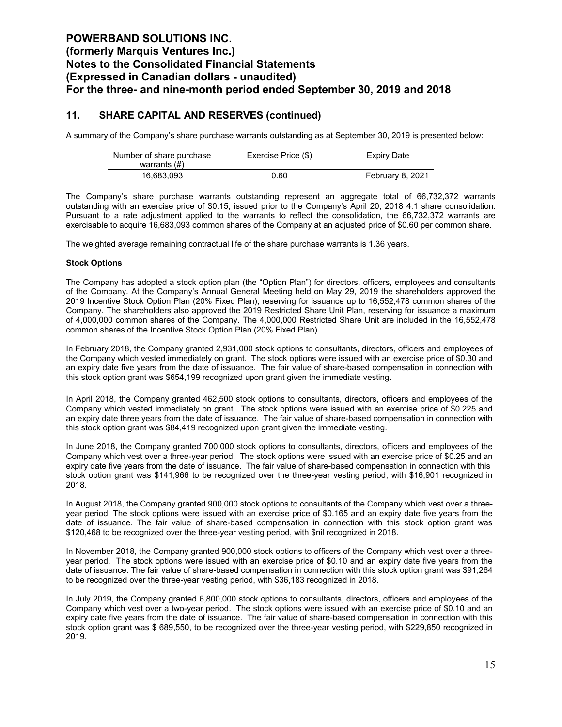#### **11. SHARE CAPITAL AND RESERVES (continued)**

A summary of the Company's share purchase warrants outstanding as at September 30, 2019 is presented below:

| Number of share purchase<br>warrants $(\#)$ | Exercise Price (\$) | <b>Expiry Date</b> |
|---------------------------------------------|---------------------|--------------------|
| 16,683,093                                  | 0.60                | February 8, 2021   |

The Company's share purchase warrants outstanding represent an aggregate total of 66,732,372 warrants outstanding with an exercise price of \$0.15, issued prior to the Company's April 20, 2018 4:1 share consolidation. Pursuant to a rate adjustment applied to the warrants to reflect the consolidation, the 66,732,372 warrants are exercisable to acquire 16,683,093 common shares of the Company at an adjusted price of \$0.60 per common share.

The weighted average remaining contractual life of the share purchase warrants is 1.36 years.

#### **Stock Options**

The Company has adopted a stock option plan (the "Option Plan") for directors, officers, employees and consultants of the Company. At the Company's Annual General Meeting held on May 29, 2019 the shareholders approved the 2019 Incentive Stock Option Plan (20% Fixed Plan), reserving for issuance up to 16,552,478 common shares of the Company. The shareholders also approved the 2019 Restricted Share Unit Plan, reserving for issuance a maximum of 4,000,000 common shares of the Company. The 4,000,000 Restricted Share Unit are included in the 16,552,478 common shares of the Incentive Stock Option Plan (20% Fixed Plan).

In February 2018, the Company granted 2,931,000 stock options to consultants, directors, officers and employees of the Company which vested immediately on grant. The stock options were issued with an exercise price of \$0.30 and an expiry date five years from the date of issuance. The fair value of share-based compensation in connection with this stock option grant was \$654,199 recognized upon grant given the immediate vesting.

In April 2018, the Company granted 462,500 stock options to consultants, directors, officers and employees of the Company which vested immediately on grant. The stock options were issued with an exercise price of \$0.225 and an expiry date three years from the date of issuance. The fair value of share-based compensation in connection with this stock option grant was \$84,419 recognized upon grant given the immediate vesting.

In June 2018, the Company granted 700,000 stock options to consultants, directors, officers and employees of the Company which vest over a three-year period. The stock options were issued with an exercise price of \$0.25 and an expiry date five years from the date of issuance. The fair value of share-based compensation in connection with this stock option grant was \$141,966 to be recognized over the three-year vesting period, with \$16,901 recognized in 2018.

In August 2018, the Company granted 900,000 stock options to consultants of the Company which vest over a threeyear period. The stock options were issued with an exercise price of \$0.165 and an expiry date five years from the date of issuance. The fair value of share-based compensation in connection with this stock option grant was \$120,468 to be recognized over the three-year vesting period, with \$nil recognized in 2018.

In November 2018, the Company granted 900,000 stock options to officers of the Company which vest over a threeyear period. The stock options were issued with an exercise price of \$0.10 and an expiry date five years from the date of issuance. The fair value of share-based compensation in connection with this stock option grant was \$91,264 to be recognized over the three-year vesting period, with \$36,183 recognized in 2018.

In July 2019, the Company granted 6,800,000 stock options to consultants, directors, officers and employees of the Company which vest over a two-year period. The stock options were issued with an exercise price of \$0.10 and an expiry date five years from the date of issuance. The fair value of share-based compensation in connection with this stock option grant was \$ 689,550, to be recognized over the three-year vesting period, with \$229,850 recognized in 2019.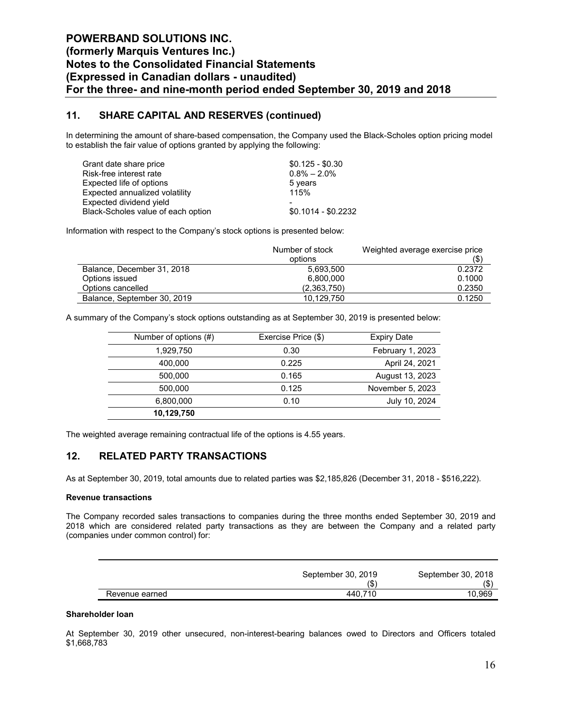#### **11. SHARE CAPITAL AND RESERVES (continued)**

In determining the amount of share-based compensation, the Company used the Black-Scholes option pricing model to establish the fair value of options granted by applying the following:

| Grant date share price             | $$0.125 - $0.30$    |
|------------------------------------|---------------------|
| Risk-free interest rate            | $0.8\% - 2.0\%$     |
| Expected life of options           | 5 years             |
| Expected annualized volatility     | 115%                |
| Expected dividend yield            |                     |
| Black-Scholes value of each option | $$0.1014 - $0.2232$ |

Information with respect to the Company's stock options is presented below:

|                             | Number of stock | Weighted average exercise price |
|-----------------------------|-----------------|---------------------------------|
|                             | options         | $($ \$                          |
| Balance, December 31, 2018  | 5.693.500       | 0.2372                          |
| Options issued              | 6.800.000       | 0.1000                          |
| Options cancelled           | (2,363,750)     | 0.2350                          |
| Balance, September 30, 2019 | 10.129.750      | 0.1250                          |

A summary of the Company's stock options outstanding as at September 30, 2019 is presented below:

| Number of options (#) | Exercise Price (\$) | <b>Expiry Date</b> |
|-----------------------|---------------------|--------------------|
| 1,929,750             | 0.30                | February 1, 2023   |
| 400,000               | 0.225               | April 24, 2021     |
| 500.000               | 0.165               | August 13, 2023    |
| 500,000               | 0.125               | November 5, 2023   |
| 6,800,000             | 0.10                | July 10, 2024      |
| 10,129,750            |                     |                    |

The weighted average remaining contractual life of the options is 4.55 years.

#### **12. RELATED PARTY TRANSACTIONS**

As at September 30, 2019, total amounts due to related parties was \$2,185,826 (December 31, 2018 - \$516,222).

#### **Revenue transactions**

The Company recorded sales transactions to companies during the three months ended September 30, 2019 and 2018 which are considered related party transactions as they are between the Company and a related party (companies under common control) for:

|                | September 30, 2019 | September 30, 2018 |
|----------------|--------------------|--------------------|
|                | 1\$                | (\$                |
| Revenue earned | 440.710            | 10.969             |

#### **Shareholder loan**

At September 30, 2019 other unsecured, non-interest-bearing balances owed to Directors and Officers totaled \$1,668,783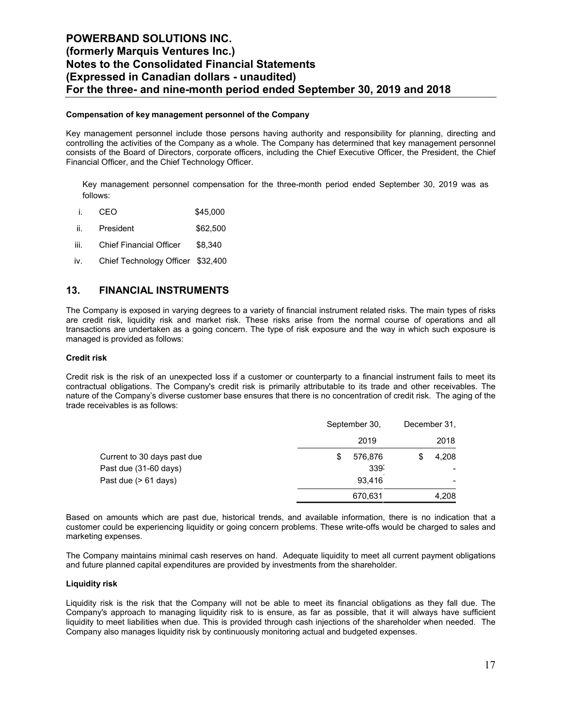#### **Compensation of key management personnel of the Company**

Key management personnel include those persons having authority and responsibility for planning, directing and controlling the activities of the Company as a whole. The Company has determined that key management personnel consists of the Board of Directors, corporate officers, including the Chief Executive Officer, the President, the Chief Financial Officer, and the Chief Technology Officer.

Key management personnel compensation for the three-month period ended September 30, 2019 was as follows:

|     | CFO       | \$45,000 |
|-----|-----------|----------|
| ji. | President | \$62,500 |

- iii. Chief Financial Officer \$8,340
- iv. Chief Technology Officer \$32,400

#### **13. FINANCIAL INSTRUMENTS**

The Company is exposed in varying degrees to a variety of financial instrument related risks. The main types of risks are credit risk, liquidity risk and market risk. These risks arise from the normal course of operations and all transactions are undertaken as a going concern. The type of risk exposure and the way in which such exposure is managed is provided as follows:

#### **Credit risk**

Credit risk is the risk of an unexpected loss if a customer or counterparty to a financial instrument fails to meet its contractual obligations. The Company's credit risk is primarily attributable to its trade and other receivables. The nature of the Company's diverse customer base ensures that there is no concentration of credit risk. The aging of the trade receivables is as follows:

|                             | September 30, | December 31, |  |
|-----------------------------|---------------|--------------|--|
|                             | 2019          | 2018         |  |
| Current to 30 days past due | 576,876<br>S  | 4.208        |  |
| Past due (31-60 days)       | 339           |              |  |
| Past due $(> 61$ days)      | 93.416        |              |  |
|                             | 670,631       | 4.208        |  |

Based on amounts which are past due, historical trends, and available information, there is no indication that a customer could be experiencing liquidity or going concern problems. These write-offs would be charged to sales and marketing expenses.

The Company maintains minimal cash reserves on hand. Adequate liquidity to meet all current payment obligations and future planned capital expenditures are provided by investments from the shareholder.

#### **Liquidity risk**

Liquidity risk is the risk that the Company will not be able to meet its financial obligations as they fall due. The Company's approach to managing liquidity risk to is ensure, as far as possible, that it will always have sufficient liquidity to meet liabilities when due. This is provided through cash injections of the shareholder when needed. The Company also manages liquidity risk by continuously monitoring actual and budgeted expenses.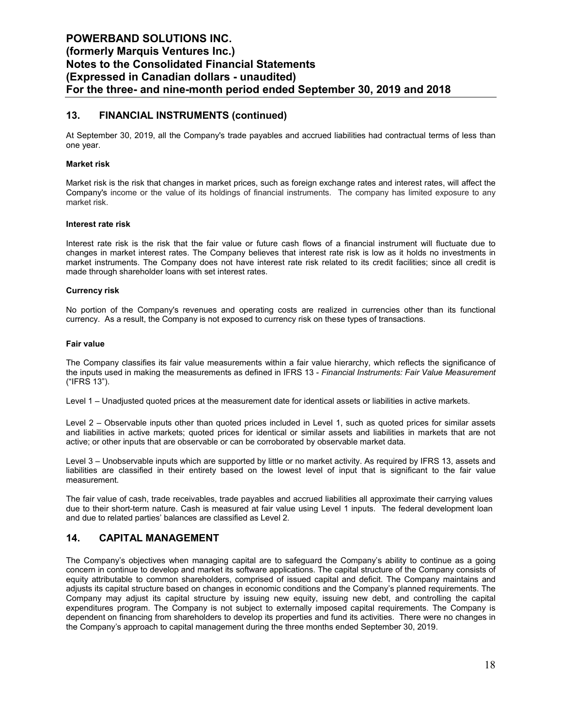#### **13. FINANCIAL INSTRUMENTS (continued)**

At September 30, 2019, all the Company's trade payables and accrued liabilities had contractual terms of less than one year.

#### **Market risk**

Market risk is the risk that changes in market prices, such as foreign exchange rates and interest rates, will affect the Company's income or the value of its holdings of financial instruments. The company has limited exposure to any market risk.

#### **Interest rate risk**

Interest rate risk is the risk that the fair value or future cash flows of a financial instrument will fluctuate due to changes in market interest rates. The Company believes that interest rate risk is low as it holds no investments in market instruments. The Company does not have interest rate risk related to its credit facilities; since all credit is made through shareholder loans with set interest rates.

#### **Currency risk**

No portion of the Company's revenues and operating costs are realized in currencies other than its functional currency. As a result, the Company is not exposed to currency risk on these types of transactions.

#### **Fair value**

The Company classifies its fair value measurements within a fair value hierarchy, which reflects the significance of the inputs used in making the measurements as defined in IFRS 13 - *Financial Instruments: Fair Value Measurement* ("IFRS 13").

Level 1 – Unadjusted quoted prices at the measurement date for identical assets or liabilities in active markets.

Level 2 – Observable inputs other than quoted prices included in Level 1, such as quoted prices for similar assets and liabilities in active markets; quoted prices for identical or similar assets and liabilities in markets that are not active; or other inputs that are observable or can be corroborated by observable market data.

Level 3 – Unobservable inputs which are supported by little or no market activity. As required by IFRS 13, assets and liabilities are classified in their entirety based on the lowest level of input that is significant to the fair value measurement.

The fair value of cash, trade receivables, trade payables and accrued liabilities all approximate their carrying values due to their short-term nature. Cash is measured at fair value using Level 1 inputs. The federal development loan and due to related parties' balances are classified as Level 2.

#### **14. CAPITAL MANAGEMENT**

The Company's objectives when managing capital are to safeguard the Company's ability to continue as a going concern in continue to develop and market its software applications. The capital structure of the Company consists of equity attributable to common shareholders, comprised of issued capital and deficit. The Company maintains and adjusts its capital structure based on changes in economic conditions and the Company's planned requirements. The Company may adjust its capital structure by issuing new equity, issuing new debt, and controlling the capital expenditures program. The Company is not subject to externally imposed capital requirements. The Company is dependent on financing from shareholders to develop its properties and fund its activities. There were no changes in the Company's approach to capital management during the three months ended September 30, 2019.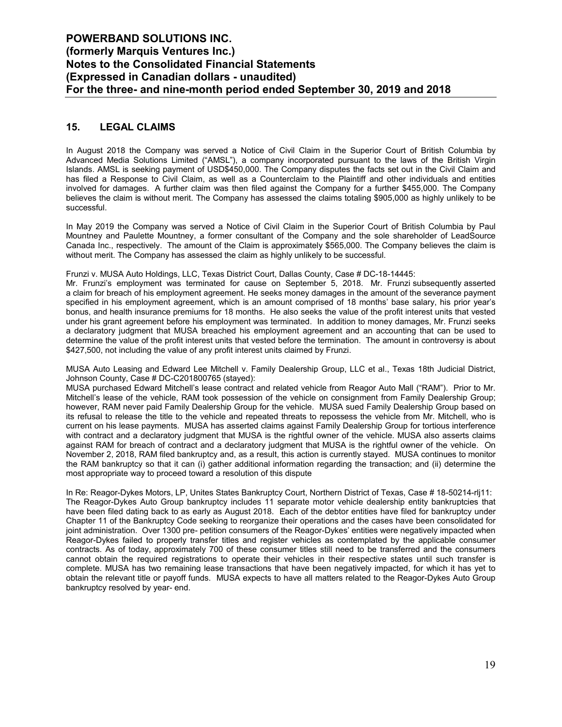#### **15. LEGAL CLAIMS**

In August 2018 the Company was served a Notice of Civil Claim in the Superior Court of British Columbia by Advanced Media Solutions Limited ("AMSL"), a company incorporated pursuant to the laws of the British Virgin Islands. AMSL is seeking payment of USD\$450,000. The Company disputes the facts set out in the Civil Claim and has filed a Response to Civil Claim, as well as a Counterclaim to the Plaintiff and other individuals and entities involved for damages. A further claim was then filed against the Company for a further \$455,000. The Company believes the claim is without merit. The Company has assessed the claims totaling \$905,000 as highly unlikely to be successful.

In May 2019 the Company was served a Notice of Civil Claim in the Superior Court of British Columbia by Paul Mountney and Paulette Mountney, a former consultant of the Company and the sole shareholder of LeadSource Canada Inc., respectively. The amount of the Claim is approximately \$565,000. The Company believes the claim is without merit. The Company has assessed the claim as highly unlikely to be successful.

Frunzi v. MUSA Auto Holdings, LLC, Texas District Court, Dallas County, Case # DC-18-14445:

Mr. Frunzi's employment was terminated for cause on September 5, 2018. Mr. Frunzi subsequently asserted a claim for breach of his employment agreement. He seeks money damages in the amount of the severance payment specified in his employment agreement, which is an amount comprised of 18 months' base salary, his prior year's bonus, and health insurance premiums for 18 months. He also seeks the value of the profit interest units that vested under his grant agreement before his employment was terminated. In addition to money damages, Mr. Frunzi seeks a declaratory judgment that MUSA breached his employment agreement and an accounting that can be used to determine the value of the profit interest units that vested before the termination. The amount in controversy is about \$427,500, not including the value of any profit interest units claimed by Frunzi.

MUSA Auto Leasing and Edward Lee Mitchell v. Family Dealership Group, LLC et al., Texas 18th Judicial District, Johnson County, Case # DC-C201800765 (stayed):

MUSA purchased Edward Mitchell's lease contract and related vehicle from Reagor Auto Mall ("RAM"). Prior to Mr. Mitchell's lease of the vehicle, RAM took possession of the vehicle on consignment from Family Dealership Group; however, RAM never paid Family Dealership Group for the vehicle. MUSA sued Family Dealership Group based on its refusal to release the title to the vehicle and repeated threats to repossess the vehicle from Mr. Mitchell, who is current on his lease payments. MUSA has asserted claims against Family Dealership Group for tortious interference with contract and a declaratory judgment that MUSA is the rightful owner of the vehicle. MUSA also asserts claims against RAM for breach of contract and a declaratory judgment that MUSA is the rightful owner of the vehicle. On November 2, 2018, RAM filed bankruptcy and, as a result, this action is currently stayed. MUSA continues to monitor the RAM bankruptcy so that it can (i) gather additional information regarding the transaction; and (ii) determine the most appropriate way to proceed toward a resolution of this dispute

In Re: Reagor-Dykes Motors, LP, Unites States Bankruptcy Court, Northern District of Texas, Case # 18-50214-rlj11: The Reagor-Dykes Auto Group bankruptcy includes 11 separate motor vehicle dealership entity bankruptcies that have been filed dating back to as early as August 2018. Each of the debtor entities have filed for bankruptcy under Chapter 11 of the Bankruptcy Code seeking to reorganize their operations and the cases have been consolidated for joint administration. Over 1300 pre- petition consumers of the Reagor-Dykes' entities were negatively impacted when Reagor-Dykes failed to properly transfer titles and register vehicles as contemplated by the applicable consumer contracts. As of today, approximately 700 of these consumer titles still need to be transferred and the consumers cannot obtain the required registrations to operate their vehicles in their respective states until such transfer is complete. MUSA has two remaining lease transactions that have been negatively impacted, for which it has yet to obtain the relevant title or payoff funds. MUSA expects to have all matters related to the Reagor-Dykes Auto Group bankruptcy resolved by year- end.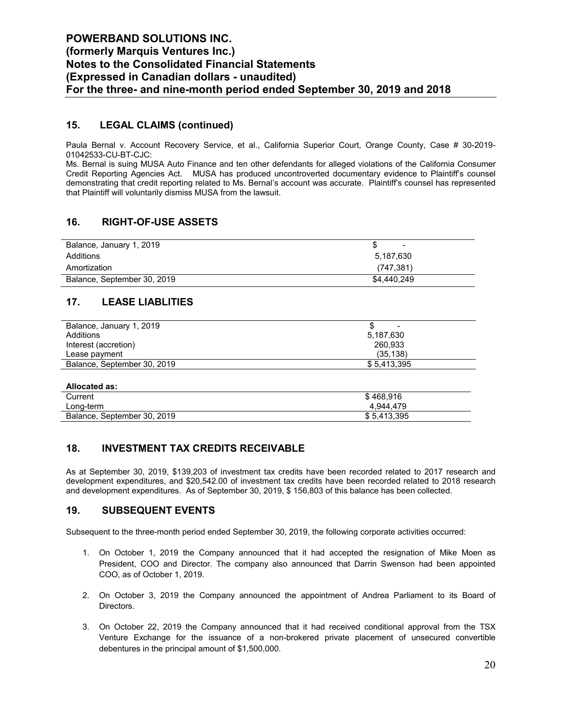#### **15. LEGAL CLAIMS (continued)**

Paula Bernal v. Account Recovery Service, et al., California Superior Court, Orange County, Case # 30-2019- 01042533-CU-BT-CJC:

Ms. Bernal is suing MUSA Auto Finance and ten other defendants for alleged violations of the California Consumer Credit Reporting Agencies Act. MUSA has produced uncontroverted documentary evidence to Plaintiff's counsel demonstrating that credit reporting related to Ms. Bernal's account was accurate. Plaintiff's counsel has represented that Plaintiff will voluntarily dismiss MUSA from the lawsuit.

#### **16. RIGHT-OF-USE ASSETS**

| Balance, January 1, 2019    | $\overline{\phantom{a}}$ |
|-----------------------------|--------------------------|
| Additions                   | 5,187,630                |
| Amortization                | (747.381)                |
| Balance, September 30, 2019 | \$4,440,249              |

### **17. LEASE LIABLITIES**

| Balance, January 1, 2019    |             |  |
|-----------------------------|-------------|--|
| Additions                   | 5,187,630   |  |
| Interest (accretion)        | 260,933     |  |
| Lease payment               | (35, 138)   |  |
| Balance, September 30, 2019 | \$5,413,395 |  |
|                             |             |  |
| <b>Allocated as:</b>        |             |  |
| Current                     | \$468,916   |  |
| Long-term                   | 4.944.479   |  |

Balance, September 30, 2019 **\$ 5,413,395** 

### **18. INVESTMENT TAX CREDITS RECEIVABLE**

As at September 30, 2019, \$139,203 of investment tax credits have been recorded related to 2017 research and development expenditures, and \$20,542.00 of investment tax credits have been recorded related to 2018 research and development expenditures. As of September 30, 2019, \$ 156,803 of this balance has been collected.

#### **19. SUBSEQUENT EVENTS**

Subsequent to the three-month period ended September 30, 2019, the following corporate activities occurred:

- 1. On October 1, 2019 the Company announced that it had accepted the resignation of Mike Moen as President, COO and Director. The company also announced that Darrin Swenson had been appointed COO, as of October 1, 2019.
- 2. On October 3, 2019 the Company announced the appointment of Andrea Parliament to its Board of Directors.
- 3. On October 22, 2019 the Company announced that it had received conditional approval from the TSX Venture Exchange for the issuance of a non-brokered private placement of unsecured convertible debentures in the principal amount of \$1,500,000.